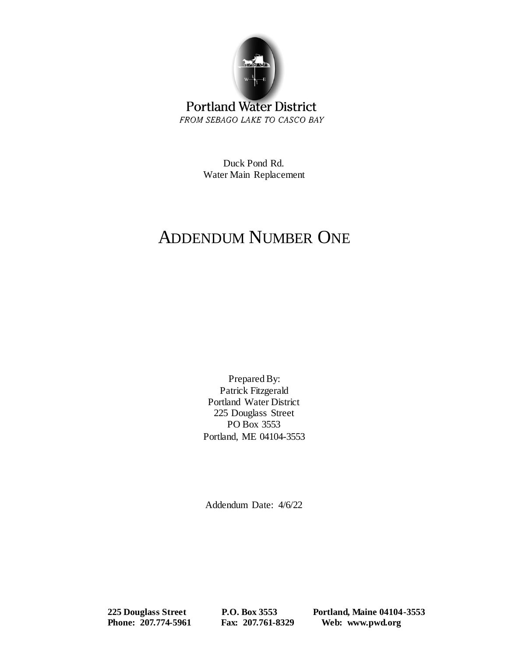

## **Portland Water District** FROM SEBAGO LAKE TO CASCO BAY

Duck Pond Rd. Water Main Replacement

## ADDENDUM NUMBER ONE

Prepared By: Patrick Fitzgerald Portland Water District 225 Douglass Street PO Box 3553 Portland, ME 04104-3553

Addendum Date: 4/6/22

 **225 Douglass Street P.O. Box 3553 Portland, Maine 04104-3553 Phone: 207.774-5961 Fax: 207.761-8329 Web: www.pwd.org**